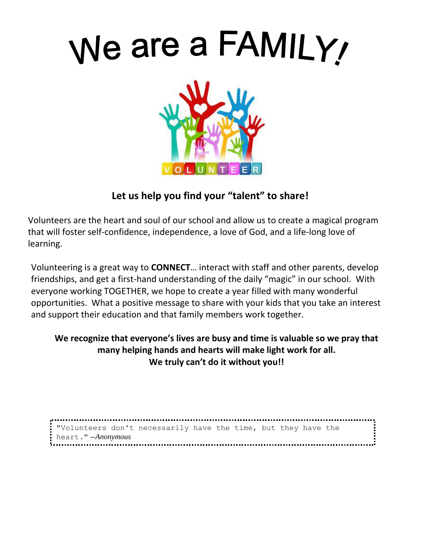

## **Let us help you find your "talent" to share!**

Volunteers are the heart and soul of our school and allow us to create a magical program that will foster self-confidence, independence, a love of God, and a life-long love of learning.

Volunteering is a great way to **CONNECT**… interact with staff and other parents, develop friendships, and get a first-hand understanding of the daily "magic" in our school. With everyone working TOGETHER, we hope to create a year filled with many wonderful opportunities. What a positive message to share with your kids that you take an interest and support their education and that family members work together.

## **We recognize that everyone's lives are busy and time is valuable so we pray that many helping hands and hearts will make light work for all. We truly can't do it without you!!**

"Volunteers don't necessarily have the time, but they have the heart." *--Anonymous*